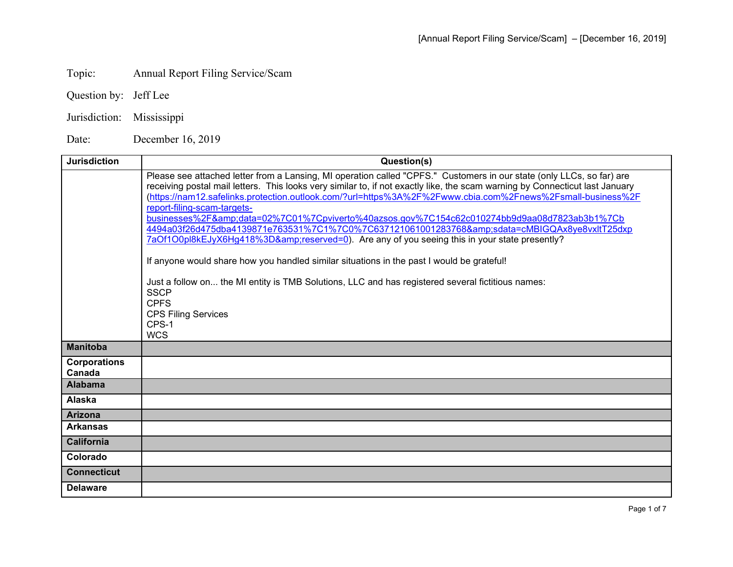## Topic: Annual Report Filing Service/Scam

Question by: Jeff Lee

Jurisdiction: Mississippi

Date: December 16, 2019

| <b>Jurisdiction</b>           | Question(s)                                                                                                                                                                                                                                                                                                                                                                                                                                                                                                                                                                                                                                                                                                                                                                                                                                                                                                                                                                  |
|-------------------------------|------------------------------------------------------------------------------------------------------------------------------------------------------------------------------------------------------------------------------------------------------------------------------------------------------------------------------------------------------------------------------------------------------------------------------------------------------------------------------------------------------------------------------------------------------------------------------------------------------------------------------------------------------------------------------------------------------------------------------------------------------------------------------------------------------------------------------------------------------------------------------------------------------------------------------------------------------------------------------|
|                               | Please see attached letter from a Lansing, MI operation called "CPFS." Customers in our state (only LLCs, so far) are<br>receiving postal mail letters. This looks very similar to, if not exactly like, the scam warning by Connecticut last January<br>https://nam12.safelinks.protection.outlook.com/?url=https%3A%2F%2Fwww.cbia.com%2Fnews%2Fsmall-business%2F<br>report-filing-scam-targets-<br>businesses%2F&data=02%7C01%7Cpviverto%40azsos.gov%7C154c62c010274bb9d9aa08d7823ab3b1%7Cb<br>4494a03f26d475dba4139871e763531%7C1%7C0%7C637121061001283768&sdata=cMBIGQAx8ye8vxltT25dxp<br>7aOf1O0pl8kEJyX6Hq418%3D&reserved=0). Are any of you seeing this in your state presently?<br>If anyone would share how you handled similar situations in the past I would be grateful!<br>Just a follow on the MI entity is TMB Solutions, LLC and has registered several fictitious names:<br><b>SSCP</b><br><b>CPFS</b><br><b>CPS Filing Services</b><br>CPS-1<br><b>WCS</b> |
| <b>Manitoba</b>               |                                                                                                                                                                                                                                                                                                                                                                                                                                                                                                                                                                                                                                                                                                                                                                                                                                                                                                                                                                              |
| <b>Corporations</b><br>Canada |                                                                                                                                                                                                                                                                                                                                                                                                                                                                                                                                                                                                                                                                                                                                                                                                                                                                                                                                                                              |
| <b>Alabama</b>                |                                                                                                                                                                                                                                                                                                                                                                                                                                                                                                                                                                                                                                                                                                                                                                                                                                                                                                                                                                              |
| Alaska                        |                                                                                                                                                                                                                                                                                                                                                                                                                                                                                                                                                                                                                                                                                                                                                                                                                                                                                                                                                                              |
| <b>Arizona</b>                |                                                                                                                                                                                                                                                                                                                                                                                                                                                                                                                                                                                                                                                                                                                                                                                                                                                                                                                                                                              |
| <b>Arkansas</b>               |                                                                                                                                                                                                                                                                                                                                                                                                                                                                                                                                                                                                                                                                                                                                                                                                                                                                                                                                                                              |
| <b>California</b>             |                                                                                                                                                                                                                                                                                                                                                                                                                                                                                                                                                                                                                                                                                                                                                                                                                                                                                                                                                                              |
| Colorado                      |                                                                                                                                                                                                                                                                                                                                                                                                                                                                                                                                                                                                                                                                                                                                                                                                                                                                                                                                                                              |
| <b>Connecticut</b>            |                                                                                                                                                                                                                                                                                                                                                                                                                                                                                                                                                                                                                                                                                                                                                                                                                                                                                                                                                                              |
| <b>Delaware</b>               |                                                                                                                                                                                                                                                                                                                                                                                                                                                                                                                                                                                                                                                                                                                                                                                                                                                                                                                                                                              |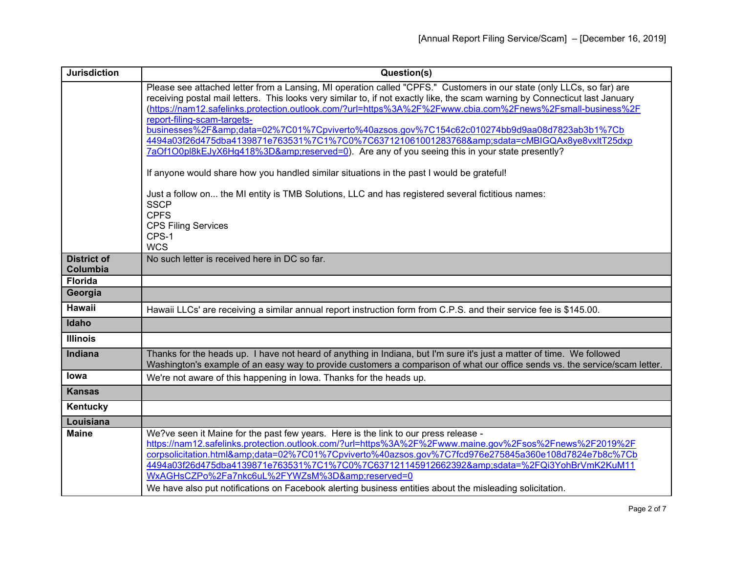| Please see attached letter from a Lansing, MI operation called "CPFS." Customers in our state (only LLCs, so far) are<br>receiving postal mail letters. This looks very similar to, if not exactly like, the scam warning by Connecticut last January<br>(https://nam12.safelinks.protection.outlook.com/?url=https%3A%2F%2Fwww.cbia.com%2Fnews%2Fsmall-business%2F<br>report-filing-scam-targets-<br>businesses%2F&data=02%7C01%7Cpviverto%40azsos.gov%7C154c62c010274bb9d9aa08d7823ab3b1%7Cb<br>4494a03f26d475dba4139871e763531%7C1%7C0%7C637121061001283768&sdata=cMBIGQAx8ye8vxltT25dxp<br>7aOf1O0pl8kEJyX6Hg418%3D&reserved=0). Are any of you seeing this in your state presently?<br>If anyone would share how you handled similar situations in the past I would be grateful!<br>Just a follow on the MI entity is TMB Solutions, LLC and has registered several fictitious names:<br><b>SSCP</b><br><b>CPFS</b><br><b>CPS Filing Services</b><br>CPS-1<br><b>WCS</b><br><b>District of</b><br>No such letter is received here in DC so far.<br>Columbia<br><b>Florida</b><br>Georgia<br>Hawaii<br>Hawaii LLCs' are receiving a similar annual report instruction form from C.P.S. and their service fee is \$145.00.<br>Idaho<br><b>Illinois</b> |
|-----------------------------------------------------------------------------------------------------------------------------------------------------------------------------------------------------------------------------------------------------------------------------------------------------------------------------------------------------------------------------------------------------------------------------------------------------------------------------------------------------------------------------------------------------------------------------------------------------------------------------------------------------------------------------------------------------------------------------------------------------------------------------------------------------------------------------------------------------------------------------------------------------------------------------------------------------------------------------------------------------------------------------------------------------------------------------------------------------------------------------------------------------------------------------------------------------------------------------------------------------------|
|                                                                                                                                                                                                                                                                                                                                                                                                                                                                                                                                                                                                                                                                                                                                                                                                                                                                                                                                                                                                                                                                                                                                                                                                                                                           |
|                                                                                                                                                                                                                                                                                                                                                                                                                                                                                                                                                                                                                                                                                                                                                                                                                                                                                                                                                                                                                                                                                                                                                                                                                                                           |
|                                                                                                                                                                                                                                                                                                                                                                                                                                                                                                                                                                                                                                                                                                                                                                                                                                                                                                                                                                                                                                                                                                                                                                                                                                                           |
|                                                                                                                                                                                                                                                                                                                                                                                                                                                                                                                                                                                                                                                                                                                                                                                                                                                                                                                                                                                                                                                                                                                                                                                                                                                           |
|                                                                                                                                                                                                                                                                                                                                                                                                                                                                                                                                                                                                                                                                                                                                                                                                                                                                                                                                                                                                                                                                                                                                                                                                                                                           |
|                                                                                                                                                                                                                                                                                                                                                                                                                                                                                                                                                                                                                                                                                                                                                                                                                                                                                                                                                                                                                                                                                                                                                                                                                                                           |
|                                                                                                                                                                                                                                                                                                                                                                                                                                                                                                                                                                                                                                                                                                                                                                                                                                                                                                                                                                                                                                                                                                                                                                                                                                                           |
|                                                                                                                                                                                                                                                                                                                                                                                                                                                                                                                                                                                                                                                                                                                                                                                                                                                                                                                                                                                                                                                                                                                                                                                                                                                           |
|                                                                                                                                                                                                                                                                                                                                                                                                                                                                                                                                                                                                                                                                                                                                                                                                                                                                                                                                                                                                                                                                                                                                                                                                                                                           |
|                                                                                                                                                                                                                                                                                                                                                                                                                                                                                                                                                                                                                                                                                                                                                                                                                                                                                                                                                                                                                                                                                                                                                                                                                                                           |
|                                                                                                                                                                                                                                                                                                                                                                                                                                                                                                                                                                                                                                                                                                                                                                                                                                                                                                                                                                                                                                                                                                                                                                                                                                                           |
|                                                                                                                                                                                                                                                                                                                                                                                                                                                                                                                                                                                                                                                                                                                                                                                                                                                                                                                                                                                                                                                                                                                                                                                                                                                           |
|                                                                                                                                                                                                                                                                                                                                                                                                                                                                                                                                                                                                                                                                                                                                                                                                                                                                                                                                                                                                                                                                                                                                                                                                                                                           |
|                                                                                                                                                                                                                                                                                                                                                                                                                                                                                                                                                                                                                                                                                                                                                                                                                                                                                                                                                                                                                                                                                                                                                                                                                                                           |
|                                                                                                                                                                                                                                                                                                                                                                                                                                                                                                                                                                                                                                                                                                                                                                                                                                                                                                                                                                                                                                                                                                                                                                                                                                                           |
|                                                                                                                                                                                                                                                                                                                                                                                                                                                                                                                                                                                                                                                                                                                                                                                                                                                                                                                                                                                                                                                                                                                                                                                                                                                           |
|                                                                                                                                                                                                                                                                                                                                                                                                                                                                                                                                                                                                                                                                                                                                                                                                                                                                                                                                                                                                                                                                                                                                                                                                                                                           |
|                                                                                                                                                                                                                                                                                                                                                                                                                                                                                                                                                                                                                                                                                                                                                                                                                                                                                                                                                                                                                                                                                                                                                                                                                                                           |
| Thanks for the heads up. I have not heard of anything in Indiana, but I'm sure it's just a matter of time. We followed<br>Indiana<br>Washington's example of an easy way to provide customers a comparison of what our office sends vs. the service/scam letter.                                                                                                                                                                                                                                                                                                                                                                                                                                                                                                                                                                                                                                                                                                                                                                                                                                                                                                                                                                                          |
| lowa<br>We're not aware of this happening in lowa. Thanks for the heads up.                                                                                                                                                                                                                                                                                                                                                                                                                                                                                                                                                                                                                                                                                                                                                                                                                                                                                                                                                                                                                                                                                                                                                                               |
| <b>Kansas</b>                                                                                                                                                                                                                                                                                                                                                                                                                                                                                                                                                                                                                                                                                                                                                                                                                                                                                                                                                                                                                                                                                                                                                                                                                                             |
| Kentucky                                                                                                                                                                                                                                                                                                                                                                                                                                                                                                                                                                                                                                                                                                                                                                                                                                                                                                                                                                                                                                                                                                                                                                                                                                                  |
| Louisiana                                                                                                                                                                                                                                                                                                                                                                                                                                                                                                                                                                                                                                                                                                                                                                                                                                                                                                                                                                                                                                                                                                                                                                                                                                                 |
| <b>Maine</b><br>We?ve seen it Maine for the past few years. Here is the link to our press release -                                                                                                                                                                                                                                                                                                                                                                                                                                                                                                                                                                                                                                                                                                                                                                                                                                                                                                                                                                                                                                                                                                                                                       |
| https://nam12.safelinks.protection.outlook.com/?url=https%3A%2F%2Fwww.maine.gov%2Fsos%2Fnews%2F2019%2F                                                                                                                                                                                                                                                                                                                                                                                                                                                                                                                                                                                                                                                                                                                                                                                                                                                                                                                                                                                                                                                                                                                                                    |
| corpsolicitation.html&data=02%7C01%7Cpviverto%40azsos.gov%7C7fcd976e275845a360e108d7824e7b8c%7Cb<br>4494a03f26d475dba4139871e763531%7C1%7C0%7C637121145912662392&sdata=%2FQi3YohBrVmK2KuM11                                                                                                                                                                                                                                                                                                                                                                                                                                                                                                                                                                                                                                                                                                                                                                                                                                                                                                                                                                                                                                                               |
| WxAGHsCZPo%2Fa7nkc6uL%2FYWZsM%3D&reserved=0                                                                                                                                                                                                                                                                                                                                                                                                                                                                                                                                                                                                                                                                                                                                                                                                                                                                                                                                                                                                                                                                                                                                                                                                               |
| We have also put notifications on Facebook alerting business entities about the misleading solicitation.                                                                                                                                                                                                                                                                                                                                                                                                                                                                                                                                                                                                                                                                                                                                                                                                                                                                                                                                                                                                                                                                                                                                                  |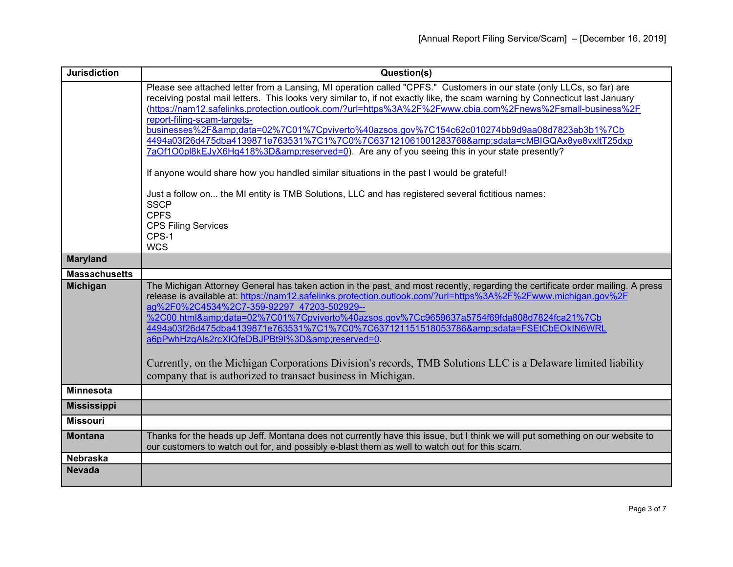| <b>Jurisdiction</b>  | Question(s)                                                                                                                                                                                                                                                                                                                                                                                                                                                                                                                                                                                                                                                                                                                                                                                                                                                                                               |
|----------------------|-----------------------------------------------------------------------------------------------------------------------------------------------------------------------------------------------------------------------------------------------------------------------------------------------------------------------------------------------------------------------------------------------------------------------------------------------------------------------------------------------------------------------------------------------------------------------------------------------------------------------------------------------------------------------------------------------------------------------------------------------------------------------------------------------------------------------------------------------------------------------------------------------------------|
|                      | Please see attached letter from a Lansing, MI operation called "CPFS." Customers in our state (only LLCs, so far) are<br>receiving postal mail letters. This looks very similar to, if not exactly like, the scam warning by Connecticut last January<br>(https://nam12.safelinks.protection.outlook.com/?url=https%3A%2F%2Fwww.cbia.com%2Fnews%2Fsmall-business%2F<br>report-filing-scam-targets-<br>businesses%2F&data=02%7C01%7Cpviverto%40azsos.gov%7C154c62c010274bb9d9aa08d7823ab3b1%7Cb<br>4494a03f26d475dba4139871e763531%7C1%7C0%7C637121061001283768&sdata=cMBIGQAx8ye8vxltT25dxp<br>7aOf1O0pl8kEJyX6Hg418%3D&reserved=0). Are any of you seeing this in your state presently?<br>If anyone would share how you handled similar situations in the past I would be grateful!<br>Just a follow on the MI entity is TMB Solutions, LLC and has registered several fictitious names:<br><b>SSCP</b> |
|                      | <b>CPFS</b><br><b>CPS Filing Services</b><br>CPS-1<br><b>WCS</b>                                                                                                                                                                                                                                                                                                                                                                                                                                                                                                                                                                                                                                                                                                                                                                                                                                          |
| <b>Maryland</b>      |                                                                                                                                                                                                                                                                                                                                                                                                                                                                                                                                                                                                                                                                                                                                                                                                                                                                                                           |
| <b>Massachusetts</b> |                                                                                                                                                                                                                                                                                                                                                                                                                                                                                                                                                                                                                                                                                                                                                                                                                                                                                                           |
| <b>Michigan</b>      | The Michigan Attorney General has taken action in the past, and most recently, regarding the certificate order mailing. A press<br>release is available at: https://nam12.safelinks.protection.outlook.com/?url=https%3A%2F%2Fwww.michigan.gov%2F<br>ag%2F0%2C4534%2C7-359-92297 47203-502929--<br>%2C00.html&data=02%7C01%7Cpviverto%40azsos.gov%7Cc9659637a5754f69fda808d7824fca21%7Cb<br>4494a03f26d475dba4139871e763531%7C1%7C0%7C637121151518053786&sdata=FSEtCbEOkIN6WRL<br>a6pPwhHzgAls2rcXIQfeDBJPBt9I%3D&reserved=0.<br>Currently, on the Michigan Corporations Division's records, TMB Solutions LLC is a Delaware limited liability<br>company that is authorized to transact business in Michigan.                                                                                                                                                                                            |
| <b>Minnesota</b>     |                                                                                                                                                                                                                                                                                                                                                                                                                                                                                                                                                                                                                                                                                                                                                                                                                                                                                                           |
| <b>Mississippi</b>   |                                                                                                                                                                                                                                                                                                                                                                                                                                                                                                                                                                                                                                                                                                                                                                                                                                                                                                           |
| <b>Missouri</b>      |                                                                                                                                                                                                                                                                                                                                                                                                                                                                                                                                                                                                                                                                                                                                                                                                                                                                                                           |
| <b>Montana</b>       | Thanks for the heads up Jeff. Montana does not currently have this issue, but I think we will put something on our website to<br>our customers to watch out for, and possibly e-blast them as well to watch out for this scam.                                                                                                                                                                                                                                                                                                                                                                                                                                                                                                                                                                                                                                                                            |
| <b>Nebraska</b>      |                                                                                                                                                                                                                                                                                                                                                                                                                                                                                                                                                                                                                                                                                                                                                                                                                                                                                                           |
| <b>Nevada</b>        |                                                                                                                                                                                                                                                                                                                                                                                                                                                                                                                                                                                                                                                                                                                                                                                                                                                                                                           |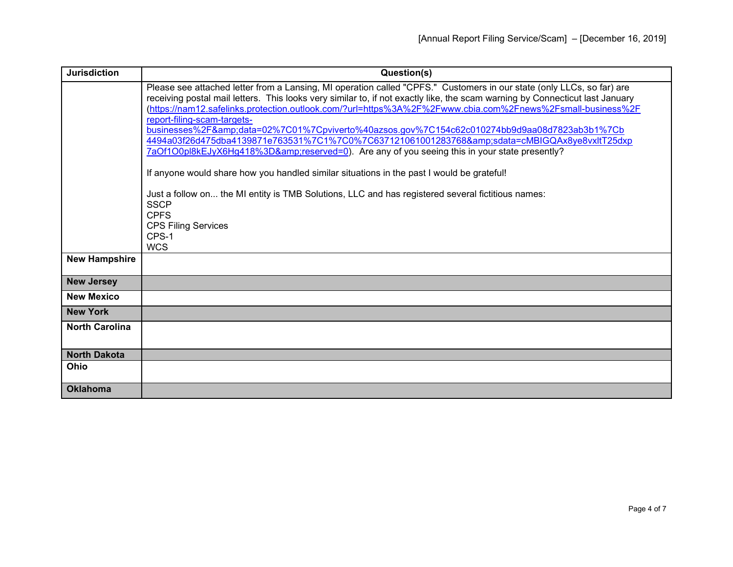| <b>Jurisdiction</b>   | Question(s)                                                                                                                                                                                                                                                                                                                                                                                                                                                                                                                                                                                                                                                                                                                                                                                                                                                                                                                                                     |
|-----------------------|-----------------------------------------------------------------------------------------------------------------------------------------------------------------------------------------------------------------------------------------------------------------------------------------------------------------------------------------------------------------------------------------------------------------------------------------------------------------------------------------------------------------------------------------------------------------------------------------------------------------------------------------------------------------------------------------------------------------------------------------------------------------------------------------------------------------------------------------------------------------------------------------------------------------------------------------------------------------|
|                       | Please see attached letter from a Lansing, MI operation called "CPFS." Customers in our state (only LLCs, so far) are<br>receiving postal mail letters. This looks very similar to, if not exactly like, the scam warning by Connecticut last January<br>(https://nam12.safelinks.protection.outlook.com/?url=https%3A%2F%2Fwww.cbia.com%2Fnews%2Fsmall-business%2F<br>report-filing-scam-targets-<br>businesses%2F&data=02%7C01%7Cpviverto%40azsos.gov%7C154c62c010274bb9d9aa08d7823ab3b1%7Cb<br>4494a03f26d475dba4139871e763531%7C1%7C0%7C637121061001283768&sdata=cMBIGQAx8ye8vxltT25dxp<br>7aOf1O0pl8kEJyX6Hg418%3D&reserved=0). Are any of you seeing this in your state presently?<br>If anyone would share how you handled similar situations in the past I would be grateful!<br>Just a follow on the MI entity is TMB Solutions, LLC and has registered several fictitious names:<br><b>SSCP</b><br><b>CPFS</b><br><b>CPS Filing Services</b><br>CPS-1 |
| <b>New Hampshire</b>  | <b>WCS</b>                                                                                                                                                                                                                                                                                                                                                                                                                                                                                                                                                                                                                                                                                                                                                                                                                                                                                                                                                      |
| <b>New Jersey</b>     |                                                                                                                                                                                                                                                                                                                                                                                                                                                                                                                                                                                                                                                                                                                                                                                                                                                                                                                                                                 |
| <b>New Mexico</b>     |                                                                                                                                                                                                                                                                                                                                                                                                                                                                                                                                                                                                                                                                                                                                                                                                                                                                                                                                                                 |
| <b>New York</b>       |                                                                                                                                                                                                                                                                                                                                                                                                                                                                                                                                                                                                                                                                                                                                                                                                                                                                                                                                                                 |
| <b>North Carolina</b> |                                                                                                                                                                                                                                                                                                                                                                                                                                                                                                                                                                                                                                                                                                                                                                                                                                                                                                                                                                 |
| <b>North Dakota</b>   |                                                                                                                                                                                                                                                                                                                                                                                                                                                                                                                                                                                                                                                                                                                                                                                                                                                                                                                                                                 |
| <b>Ohio</b>           |                                                                                                                                                                                                                                                                                                                                                                                                                                                                                                                                                                                                                                                                                                                                                                                                                                                                                                                                                                 |
| <b>Oklahoma</b>       |                                                                                                                                                                                                                                                                                                                                                                                                                                                                                                                                                                                                                                                                                                                                                                                                                                                                                                                                                                 |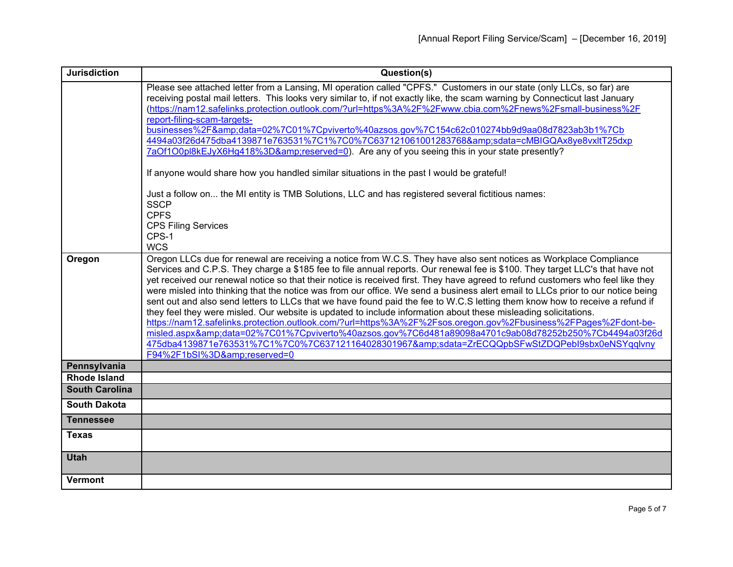| <b>Jurisdiction</b>                          | Question(s)                                                                                                                                                                                                                                                                                                                                                                                                                                                                                                                                                                                                                                                                                                                                                                                                                                                                                                                                                                                                                                                                                                                    |
|----------------------------------------------|--------------------------------------------------------------------------------------------------------------------------------------------------------------------------------------------------------------------------------------------------------------------------------------------------------------------------------------------------------------------------------------------------------------------------------------------------------------------------------------------------------------------------------------------------------------------------------------------------------------------------------------------------------------------------------------------------------------------------------------------------------------------------------------------------------------------------------------------------------------------------------------------------------------------------------------------------------------------------------------------------------------------------------------------------------------------------------------------------------------------------------|
|                                              | Please see attached letter from a Lansing, MI operation called "CPFS." Customers in our state (only LLCs, so far) are<br>receiving postal mail letters. This looks very similar to, if not exactly like, the scam warning by Connecticut last January<br>(https://nam12.safelinks.protection.outlook.com/?url=https%3A%2F%2Fwww.cbia.com%2Fnews%2Fsmall-business%2F<br>report-filing-scam-targets-                                                                                                                                                                                                                                                                                                                                                                                                                                                                                                                                                                                                                                                                                                                             |
|                                              | businesses%2F&data=02%7C01%7Cpviverto%40azsos.gov%7C154c62c010274bb9d9aa08d7823ab3b1%7Cb<br>4494a03f26d475dba4139871e763531%7C1%7C0%7C637121061001283768&sdata=cMBIGQAx8ye8vxltT25dxp<br>7aOf1O0pl8kEJyX6Hg418%3D&reserved=0). Are any of you seeing this in your state presently?                                                                                                                                                                                                                                                                                                                                                                                                                                                                                                                                                                                                                                                                                                                                                                                                                                             |
|                                              | If anyone would share how you handled similar situations in the past I would be grateful!                                                                                                                                                                                                                                                                                                                                                                                                                                                                                                                                                                                                                                                                                                                                                                                                                                                                                                                                                                                                                                      |
|                                              | Just a follow on the MI entity is TMB Solutions, LLC and has registered several fictitious names:<br><b>SSCP</b><br><b>CPFS</b>                                                                                                                                                                                                                                                                                                                                                                                                                                                                                                                                                                                                                                                                                                                                                                                                                                                                                                                                                                                                |
|                                              | <b>CPS Filing Services</b><br>CPS-1<br><b>WCS</b>                                                                                                                                                                                                                                                                                                                                                                                                                                                                                                                                                                                                                                                                                                                                                                                                                                                                                                                                                                                                                                                                              |
| Oregon                                       | Oregon LLCs due for renewal are receiving a notice from W.C.S. They have also sent notices as Workplace Compliance<br>Services and C.P.S. They charge a \$185 fee to file annual reports. Our renewal fee is \$100. They target LLC's that have not<br>yet received our renewal notice so that their notice is received first. They have agreed to refund customers who feel like they<br>were misled into thinking that the notice was from our office. We send a business alert email to LLCs prior to our notice being<br>sent out and also send letters to LLCs that we have found paid the fee to W.C.S letting them know how to receive a refund if<br>they feel they were misled. Our website is updated to include information about these misleading solicitations.<br>https://nam12.safelinks.protection.outlook.com/?url=https%3A%2F%2Fsos.oregon.gov%2Fbusiness%2FPages%2Fdont-be-<br>misled.aspx&data=02%7C01%7Cpviverto%40azsos.gov%7C6d481a89098a4701c9ab08d78252b250%7Cb4494a03f26d<br>475dba4139871e763531%7C1%7C0%7C637121164028301967&sdata=ZrECQQpbSFwStZDQPebl9sbx0eNSYqqlvny<br>F94%2F1bSI%3D&reserved=0 |
| Pennsylvania                                 |                                                                                                                                                                                                                                                                                                                                                                                                                                                                                                                                                                                                                                                                                                                                                                                                                                                                                                                                                                                                                                                                                                                                |
| <b>Rhode Island</b><br><b>South Carolina</b> |                                                                                                                                                                                                                                                                                                                                                                                                                                                                                                                                                                                                                                                                                                                                                                                                                                                                                                                                                                                                                                                                                                                                |
| <b>South Dakota</b>                          |                                                                                                                                                                                                                                                                                                                                                                                                                                                                                                                                                                                                                                                                                                                                                                                                                                                                                                                                                                                                                                                                                                                                |
| <b>Tennessee</b>                             |                                                                                                                                                                                                                                                                                                                                                                                                                                                                                                                                                                                                                                                                                                                                                                                                                                                                                                                                                                                                                                                                                                                                |
| <b>Texas</b>                                 |                                                                                                                                                                                                                                                                                                                                                                                                                                                                                                                                                                                                                                                                                                                                                                                                                                                                                                                                                                                                                                                                                                                                |
| <b>Utah</b>                                  |                                                                                                                                                                                                                                                                                                                                                                                                                                                                                                                                                                                                                                                                                                                                                                                                                                                                                                                                                                                                                                                                                                                                |
| <b>Vermont</b>                               |                                                                                                                                                                                                                                                                                                                                                                                                                                                                                                                                                                                                                                                                                                                                                                                                                                                                                                                                                                                                                                                                                                                                |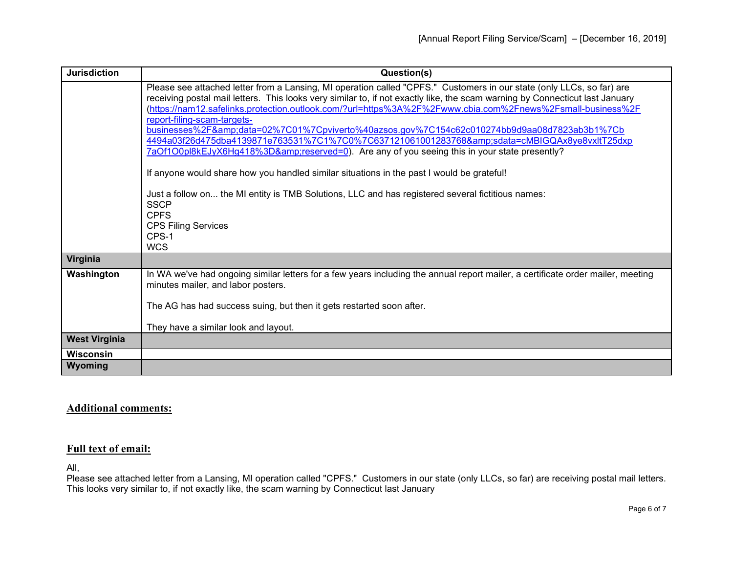| <b>Jurisdiction</b>  | Question(s)                                                                                                                                                                                                                                                                                                                                                                                                                                                                                                                                                                                                                                                                                                                                                                                                                                                                                                                                                                   |
|----------------------|-------------------------------------------------------------------------------------------------------------------------------------------------------------------------------------------------------------------------------------------------------------------------------------------------------------------------------------------------------------------------------------------------------------------------------------------------------------------------------------------------------------------------------------------------------------------------------------------------------------------------------------------------------------------------------------------------------------------------------------------------------------------------------------------------------------------------------------------------------------------------------------------------------------------------------------------------------------------------------|
|                      | Please see attached letter from a Lansing, MI operation called "CPFS." Customers in our state (only LLCs, so far) are<br>receiving postal mail letters. This looks very similar to, if not exactly like, the scam warning by Connecticut last January<br>(https://nam12.safelinks.protection.outlook.com/?url=https%3A%2F%2Fwww.cbia.com%2Fnews%2Fsmall-business%2F<br>report-filing-scam-targets-<br>businesses%2F&data=02%7C01%7Cpviverto%40azsos.gov%7C154c62c010274bb9d9aa08d7823ab3b1%7Cb<br>4494a03f26d475dba4139871e763531%7C1%7C0%7C637121061001283768&sdata=cMBIGQAx8ye8vxltT25dxp<br>7aOf1O0pl8kEJyX6Hg418%3D&reserved=0). Are any of you seeing this in your state presently?<br>If anyone would share how you handled similar situations in the past I would be grateful!<br>Just a follow on the MI entity is TMB Solutions, LLC and has registered several fictitious names:<br><b>SSCP</b><br><b>CPFS</b><br><b>CPS Filing Services</b><br>CPS-1<br><b>WCS</b> |
| Virginia             |                                                                                                                                                                                                                                                                                                                                                                                                                                                                                                                                                                                                                                                                                                                                                                                                                                                                                                                                                                               |
| Washington           | In WA we've had ongoing similar letters for a few years including the annual report mailer, a certificate order mailer, meeting<br>minutes mailer, and labor posters.<br>The AG has had success suing, but then it gets restarted soon after.<br>They have a similar look and layout.                                                                                                                                                                                                                                                                                                                                                                                                                                                                                                                                                                                                                                                                                         |
| <b>West Virginia</b> |                                                                                                                                                                                                                                                                                                                                                                                                                                                                                                                                                                                                                                                                                                                                                                                                                                                                                                                                                                               |
| <b>Wisconsin</b>     |                                                                                                                                                                                                                                                                                                                                                                                                                                                                                                                                                                                                                                                                                                                                                                                                                                                                                                                                                                               |
| Wyoming              |                                                                                                                                                                                                                                                                                                                                                                                                                                                                                                                                                                                                                                                                                                                                                                                                                                                                                                                                                                               |

## **Additional comments:**

## **Full text of email:**

All,

Please see attached letter from a Lansing, MI operation called "CPFS." Customers in our state (only LLCs, so far) are receiving postal mail letters. This looks very similar to, if not exactly like, the scam warning by Connecticut last January